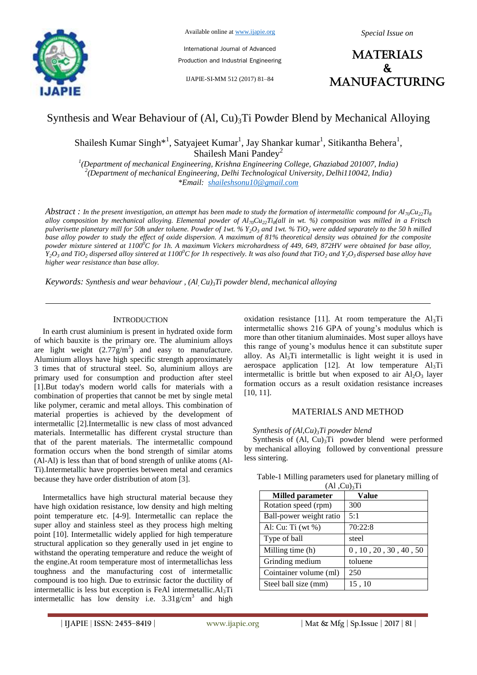

International Journal of Advanced Production and Industrial Engineering

IJAPIE-SI-MM 512 (2017) 81–84



# Synthesis and Wear Behaviour of  $(Al, Cu)<sub>3</sub>Ti$  Powder Blend by Mechanical Alloying

Shailesh Kumar Singh\*<sup>1</sup>, Satyajeet Kumar<sup>1</sup>, Jay Shankar kumar<sup>1</sup>, Sitikantha Behera<sup>1</sup>, Shailesh Mani Pandey<sup>2</sup>

*1 (Department of mechanical Engineering, Krishna Engineering College, Ghaziabad 201007, India) 2 (Department of mechanical Engineering, Delhi Technological University, Delhi110042, India) \*Email: shaileshsonu10@gmail.com*

*Abstract : In the present investigation, an attempt has been made to study the formation of intermetallic compound for*  $Al_{70}Cu_{22}Ti_{8}$ *alloy composition by mechanical alloying. Elemental powder of Al70Cu22Ti<sup>8</sup> (all in wt. %) composition was milled in a Fritsch pulverisette planetary mill for 50h under toluene. Powder of 1wt. % Y2O<sup>3</sup> and 1wt. % TiO<sup>2</sup> were added separately to the 50 h milled base alloy powder to study the effect of oxide dispersion. A maximum of 81% theoretical density was obtained for the composite powder mixture sintered at 1100<sup>0</sup>C for 1h. A maximum Vickers microhardness of 449, 649, 872HV were obtained for base alloy,*   $Y_2O_3$  and TiO<sub>2</sub> dispersed alloy sintered at 1100<sup>o</sup>C for 1h respectively. It was also found that TiO<sub>2</sub> and Y<sub>2</sub>O<sub>3</sub> dispersed base alloy have *higher wear resistance than base alloy.* 

*Keywords: Synthesis and wear behaviour , (Al, Cu)3Ti powder blend, mechanical alloying*

## **INTRODUCTION**

In earth crust aluminium is present in hydrated oxide form of which bauxite is the primary ore. The aluminium alloys are light weight  $(2.77g/m<sup>3</sup>)$  and easy to manufacture. Aluminium alloys have high specific strength approximately 3 times that of structural steel. So, aluminium alloys are primary used for consumption and production after steel [1].But today's modern world calls for materials with a combination of properties that cannot be met by single metal like polymer, ceramic and metal alloys. This combination of material properties is achieved by the development of intermetallic [2].Intermetallic is new class of most advanced materials. Intermetallic has different crystal structure than that of the parent materials. The intermetallic compound formation occurs when the bond strength of similar atoms (Al-Al) is less than that of bond strength of unlike atoms (Al-Ti).Intermetallic have properties between metal and ceramics because they have order distribution of atom [3].

Intermetallics have high structural material because they have high oxidation resistance, low density and high melting point temperature etc. [4-9]. Intermetallic can replace the super alloy and stainless steel as they process high melting point [10]. Intermetallic widely applied for high temperature structural application so they generally used in jet engine to withstand the operating temperature and reduce the weight of the engine.At room temperature most of intermetallichas less toughness and the manufacturing cost of intermetallic compound is too high. Due to extrinsic factor the ductility of intermetallic is less but exception is FeAl intermetallic. $Al<sub>3</sub>Ti$ intermetallic has low density i.e.  $3.31$  g/cm<sup>3</sup> and high oxidation resistance [11]. At room temperature the  $Al<sub>3</sub>Ti$ intermetallic shows 216 GPA of young's modulus which is more than other titanium aluminaides. Most super alloys have this range of young's modulus hence it can substitute super alloy. As  $Al<sub>3</sub>Ti$  intermetallic is light weight it is used in aerospace application [12]. At low temperature  $Al<sub>3</sub>Ti$ intermetallic is brittle but when exposed to air  $Al_2O_3$  layer formation occurs as a result oxidation resistance increases [10, 11].

#### MATERIALS AND METHOD

#### *Synthesis of (Al,Cu)3Ti powder blend*

Synthesis of  $(Al, Cu)<sub>3</sub>Ti$  powder blend were performed by mechanical alloying followed by conventional pressure less sintering.

| <b>Milled parameter</b> | Value                 |
|-------------------------|-----------------------|
| Rotation speed (rpm)    | 300                   |
| Ball-power weight ratio | 5:1                   |
| Al: Cu: Ti (wt $\%$ )   | 70:22:8               |
| Type of ball            | steel                 |
| Milling time (h)        | 0, 10, 20, 30, 40, 50 |
| Grinding medium         | toluene               |
| Cointainer volume (ml)  | 250                   |
| Steel ball size (mm)    | 15,10                 |

Table-1 Milling parameters used for planetary milling of  $(A1, C_1)$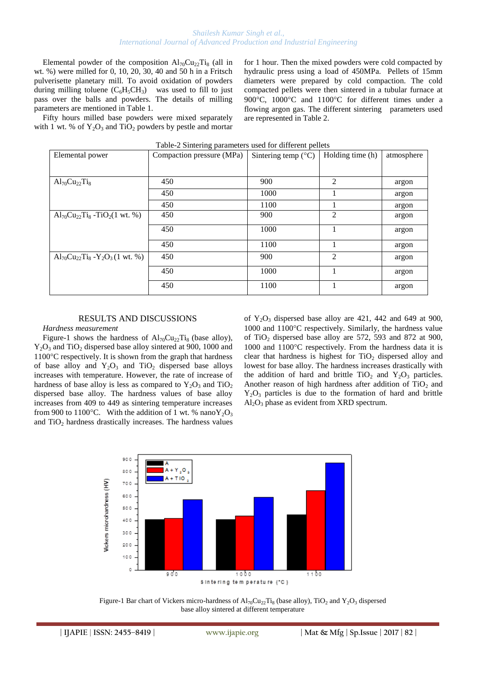# *Shailesh Kumar Singh et al., International Journal of Advanced Production and Industrial Engineering*

Elemental powder of the composition  $Al_{70}Cu_{22}Ti_8$  (all in wt. %) were milled for 0, 10, 20, 30, 40 and 50 h in a Fritsch pulverisette planetary mill. To avoid oxidation of powders during milling toluene  $(C_6H_5CH_3)$  was used to fill to just pass over the balls and powders. The details of milling parameters are mentioned in Table 1.

Fifty hours milled base powders were mixed separately with 1 wt. % of  $Y_2O_3$  and  $TiO_2$  powders by pestle and mortar for 1 hour. Then the mixed powders were cold compacted by hydraulic press using a load of 450MPa. Pellets of 15mm diameters were prepared by cold compaction. The cold compacted pellets were then sintered in a tubular furnace at 900°C, 1000°C and 1100°C for different times under a flowing argon gas. The different sintering parameters used are represented in Table 2.

| Table-2 Sintering parameters used for different pellets                 |                           |                              |                  |            |  |
|-------------------------------------------------------------------------|---------------------------|------------------------------|------------------|------------|--|
| Elemental power                                                         | Compaction pressure (MPa) | Sintering temp $(^{\circ}C)$ | Holding time (h) | atmosphere |  |
|                                                                         |                           |                              |                  |            |  |
| $Al_{70}Cu_{22}Ti_8$                                                    | 450                       | 900                          | $\mathfrak{D}$   | argon      |  |
|                                                                         | 450                       | 1000                         |                  | argon      |  |
|                                                                         | 450                       | 1100                         |                  | argon      |  |
| $\text{Al}_{70}\text{Cu}_{22}\text{Ti}_{8}$ -TiO <sub>2</sub> (1 wt. %) | 450                       | 900                          | $\overline{c}$   | argon      |  |
|                                                                         | 450                       | 1000                         |                  | argon      |  |
|                                                                         | 450                       | 1100                         |                  | argon      |  |
| $Al_{70}Cu_{22}Ti_8 - Y_2O_3(1 \text{ wt. } \%)$                        | 450                       | 900                          | $\overline{c}$   | argon      |  |
|                                                                         | 450                       | 1000                         |                  | argon      |  |
|                                                                         | 450                       | 1100                         |                  | argon      |  |

#### RESULTS AND DISCUSSIONS

#### *Hardness measurement*

Figure-1 shows the hardness of  $Al_{70}Cu_{22}Ti_8$  (base alloy),  $Y_2O_3$  and TiO<sub>2</sub> dispersed base alloy sintered at 900, 1000 and  $1100^{\circ}$ C respectively. It is shown from the graph that hardness of base alloy and  $Y_2O_3$  and  $T_1O_2$  dispersed base alloys increases with temperature. However, the rate of increase of hardness of base alloy is less as compared to  $Y_2O_3$  and  $TiO_2$ dispersed base alloy. The hardness values of base alloy increases from 409 to 449 as sintering temperature increases from 900 to 1100°C. With the addition of 1 wt. % nano $Y_2O_3$ and  $TiO<sub>2</sub>$  hardness drastically increases. The hardness values of  $Y_2O_3$  dispersed base alloy are 421, 442 and 649 at 900,  $1000$  and  $1100^{\circ}$ C respectively. Similarly, the hardness value of TiO<sup>2</sup> dispersed base alloy are 572, 593 and 872 at 900,  $1000$  and  $1100^{\circ}$ C respectively. From the hardness data it is clear that hardness is highest for  $TiO<sub>2</sub>$  dispersed alloy and lowest for base alloy. The hardness increases drastically with the addition of hard and brittle  $TiO<sub>2</sub>$  and  $Y<sub>2</sub>O<sub>3</sub>$  particles. Another reason of high hardness after addition of  $TiO<sub>2</sub>$  and  $Y_2O_3$  particles is due to the formation of hard and brittle  $Al_2O_3$  phase as evident from XRD spectrum.



Figure-1 Bar chart of Vickers micro-hardness of  $Al_{70}Cu_{22}Ti_8$  (base alloy), TiO<sub>2</sub> and Y<sub>2</sub>O<sub>3</sub> dispersed base alloy sintered at different temperature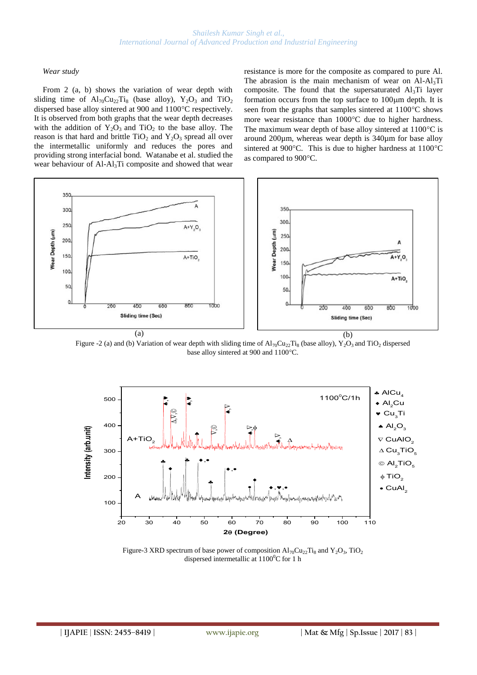# *Wear study*

From 2 (a, b) shows the variation of wear depth with sliding time of  $Al_{70}Cu_{22}Ti_8$  (base alloy),  $Y_2O_3$  and  $TiO_2$ dispersed base alloy sintered at 900 and 1100°C respectively. It is observed from both graphs that the wear depth decreases with the addition of  $Y_2O_3$  and  $TiO_2$  to the base alloy. The reason is that hard and brittle  $TiO<sub>2</sub>$  and  $Y<sub>2</sub>O<sub>3</sub>$  spread all over the intermetallic uniformly and reduces the pores and providing strong interfacial bond. Watanabe et al. studied the wear behaviour of Al-Al<sub>3</sub>Ti composite and showed that wear resistance is more for the composite as compared to pure Al. The abrasion is the main mechanism of wear on  $AI-AI_3Ti$ composite. The found that the supersaturated  $Al<sub>3</sub>Ti$  layer formation occurs from the top surface to  $100 \mu m$  depth. It is seen from the graphs that samples sintered at  $1100^{\circ}$ C shows more wear resistance than  $1000^{\circ}$ C due to higher hardness. The maximum wear depth of base alloy sintered at  $1100^{\circ}$ C is around 200µm, whereas wear depth is 340µm for base alloy sintered at 900 $^{\circ}$ C. This is due to higher hardness at 1100 $^{\circ}$ C as compared to 900°C.



Figure -2 (a) and (b) Variation of wear depth with sliding time of  $Al_{70}Cu_{22}Ti_8$  (base alloy),  $Y_2O_3$  and TiO<sub>2</sub> dispersed base alloy sintered at 900 and 1100°C.



Figure-3 XRD spectrum of base power of composition  $Al_{70}Cu_{22}Ti_8$  and  $Y_2O_3$ , TiO<sub>2</sub> dispersed intermetallic at  $1100^0C$  for 1 h